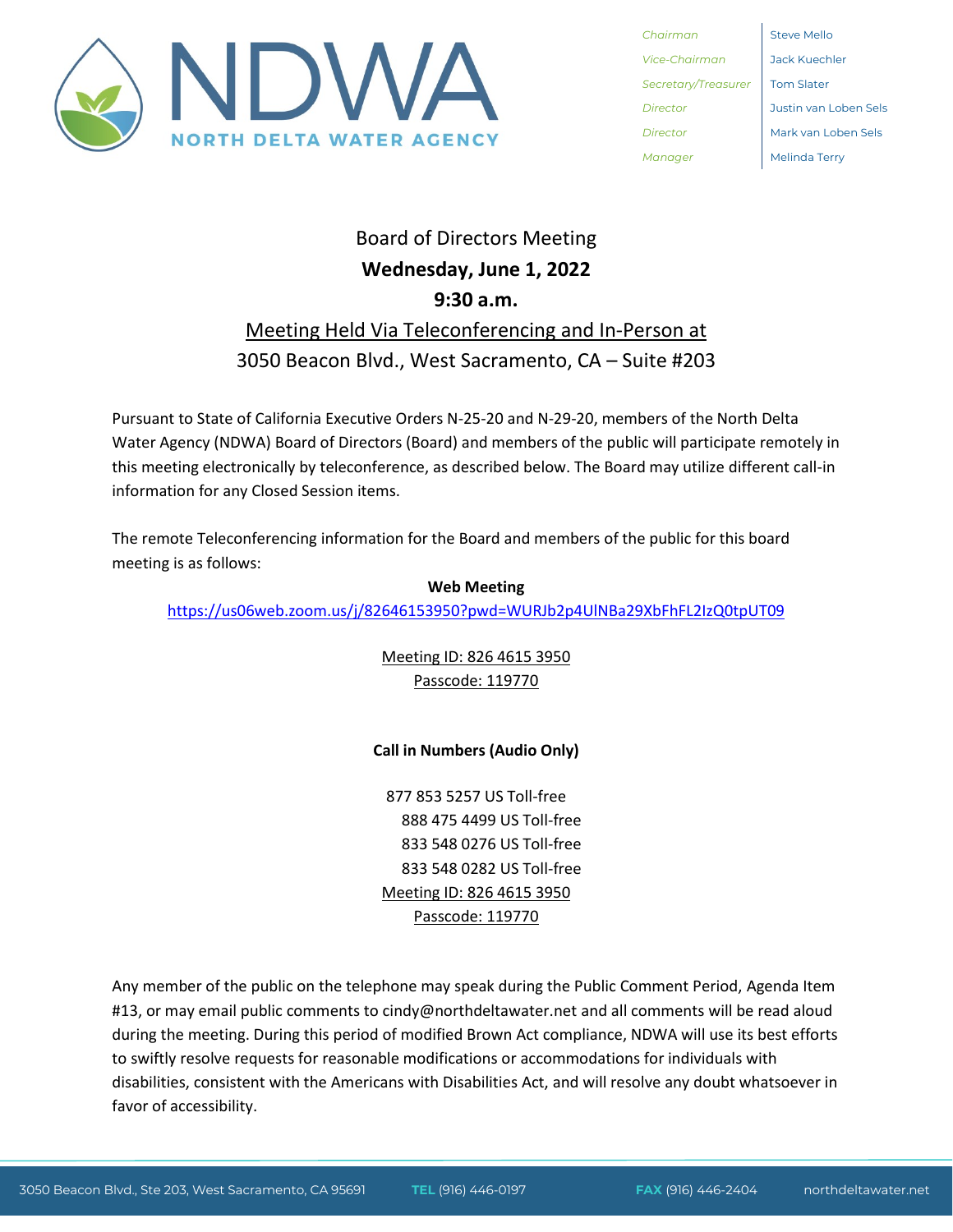

*Chairman* Steve Mello *Vice-Chairman* Jack Kuechler *Secretary/Treasurer* Tom Slater *Manager* Melinda Terry

*Director* Justin van Loben Sels *Director* Mark van Loben Sels

# Board of Directors Meeting **Wednesday, June 1, 2022 9:30 a.m.**

## Meeting Held Via Teleconferencing and In-Person at 3050 Beacon Blvd., West Sacramento, CA – Suite #203

Pursuant to State of California Executive Orders N-25-20 and N-29-20, members of the North Delta Water Agency (NDWA) Board of Directors (Board) and members of the public will participate remotely in this meeting electronically by teleconference, as described below. The Board may utilize different call-in information for any Closed Session items.

The remote Teleconferencing information for the Board and members of the public for this board meeting is as follows:

**Web Meeting** <https://us06web.zoom.us/j/82646153950?pwd=WURJb2p4UlNBa29XbFhFL2IzQ0tpUT09>

> Meeting ID: 826 4615 3950 Passcode: 119770

## **Call in Numbers (Audio Only)**

877 853 5257 US Toll-free 888 475 4499 US Toll-free 833 548 0276 US Toll-free 833 548 0282 US Toll-free Meeting ID: 826 4615 3950 Passcode: 119770

Any member of the public on the telephone may speak during the Public Comment Period, Agenda Item #13, or may email public comments to cindy@northdeltawater.net and all comments will be read aloud during the meeting. During this period of modified Brown Act compliance, NDWA will use its best efforts to swiftly resolve requests for reasonable modifications or accommodations for individuals with disabilities, consistent with the Americans with Disabilities Act, and will resolve any doubt whatsoever in favor of accessibility.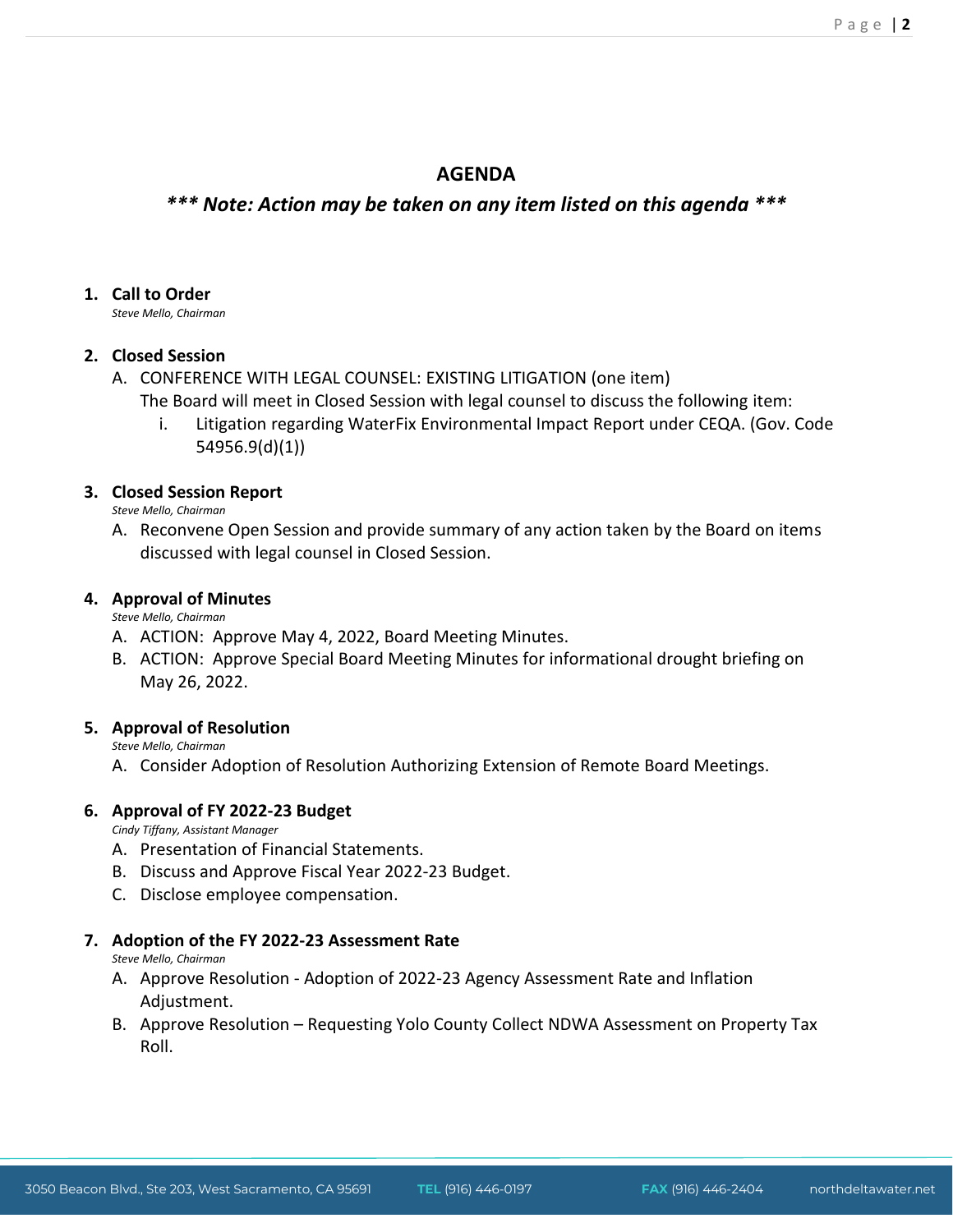### **AGENDA**

## *\*\*\* Note: Action may be taken on any item listed on this agenda \*\*\**

#### **1. Call to Order**

*Steve Mello, Chairman*

#### **2. Closed Session**

- A. CONFERENCE WITH LEGAL COUNSEL: EXISTING LITIGATION (one item)
	- The Board will meet in Closed Session with legal counsel to discuss the following item:
		- i. Litigation regarding WaterFix Environmental Impact Report under CEQA. (Gov. Code 54956.9(d)(1))

#### **3. Closed Session Report**

*Steve Mello, Chairman*

A. Reconvene Open Session and provide summary of any action taken by the Board on items discussed with legal counsel in Closed Session.

#### **4. Approval of Minutes**

*Steve Mello, Chairman*

- A. ACTION: Approve May 4, 2022, Board Meeting Minutes.
- B. ACTION: Approve Special Board Meeting Minutes for informational drought briefing on May 26, 2022.

#### **5. Approval of Resolution**

*Steve Mello, Chairman*

A. Consider Adoption of Resolution Authorizing Extension of Remote Board Meetings.

#### **6. Approval of FY 2022-23 Budget**

*Cindy Tiffany, Assistant Manager*

- A. Presentation of Financial Statements.
- B. Discuss and Approve Fiscal Year 2022-23 Budget.
- C. Disclose employee compensation.

#### **7. Adoption of the FY 2022-23 Assessment Rate**

*Steve Mello, Chairman*

- A. Approve Resolution Adoption of 2022-23 Agency Assessment Rate and Inflation Adjustment.
- B. Approve Resolution Requesting Yolo County Collect NDWA Assessment on Property Tax Roll.